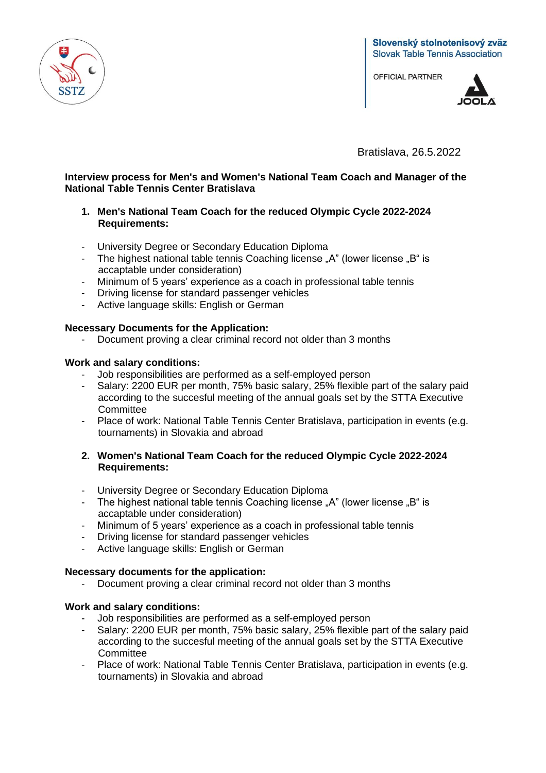

**OFFICIAL PARTNER** 



Bratislava, 26.5.2022

# **Interview process for Men's and Women's National Team Coach and Manager of the National Table Tennis Center Bratislava**

## **1. Men's National Team Coach for the reduced Olympic Cycle 2022-2024 Requirements:**

- University Degree or Secondary Education Diploma
- The highest national table tennis Coaching license "A" (lower license "B" is accaptable under consideration)
- Minimum of 5 years' experience as a coach in professional table tennis<br>- Driving license for standard passenger vehicles
- Driving license for standard passenger vehicles
- Active language skills: English or German

## **Necessary Documents for the Application:**

- Document proving a clear criminal record not older than 3 months

### **Work and salary conditions:**

- Job responsibilities are performed as a self-employed person
- Salary: 2200 EUR per month, 75% basic salary, 25% flexible part of the salary paid according to the succesful meeting of the annual goals set by the STTA Executive **Committee**
- Place of work: National Table Tennis Center Bratislava, participation in events (e.g. tournaments) in Slovakia and abroad

### **2. Women's National Team Coach for the reduced Olympic Cycle 2022-2024 Requirements:**

- University Degree or Secondary Education Diploma
- The highest national table tennis Coaching license "A" (lower license "B" is accaptable under consideration)
- Minimum of 5 years' experience as a coach in professional table tennis
- Driving license for standard passenger vehicles
- Active language skills: English or German

### **Necessary documents for the application:**

- Document proving a clear criminal record not older than 3 months

### **Work and salary conditions:**

- Job responsibilities are performed as a self-employed person
- Salary: 2200 EUR per month, 75% basic salary, 25% flexible part of the salary paid according to the succesful meeting of the annual goals set by the STTA Executive **Committee**
- Place of work: National Table Tennis Center Bratislava, participation in events (e.g. tournaments) in Slovakia and abroad